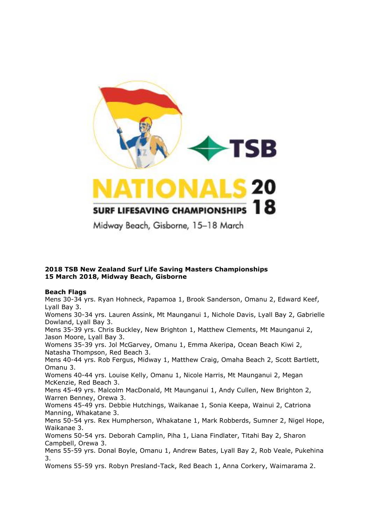

## **2018 TSB New Zealand Surf Life Saving Masters Championships 15 March 2018, Midway Beach, Gisborne**

# **Beach Flags**

Mens 30-34 yrs. Ryan Hohneck, Papamoa 1, Brook Sanderson, Omanu 2, Edward Keef, Lyall Bay 3.

Womens 30-34 yrs. Lauren Assink, Mt Maunganui 1, Nichole Davis, Lyall Bay 2, Gabrielle Dowland, Lyall Bay 3.

Mens 35-39 yrs. Chris Buckley, New Brighton 1, Matthew Clements, Mt Maunganui 2, Jason Moore, Lyall Bay 3.

Womens 35-39 yrs. Jol McGarvey, Omanu 1, Emma Akeripa, Ocean Beach Kiwi 2, Natasha Thompson, Red Beach 3.

Mens 40-44 yrs. Rob Fergus, Midway 1, Matthew Craig, Omaha Beach 2, Scott Bartlett, Omanu 3.

Womens 40-44 yrs. Louise Kelly, Omanu 1, Nicole Harris, Mt Maunganui 2, Megan McKenzie, Red Beach 3.

Mens 45-49 yrs. Malcolm MacDonald, Mt Maunganui 1, Andy Cullen, New Brighton 2, Warren Benney, Orewa 3.

Womens 45-49 yrs. Debbie Hutchings, Waikanae 1, Sonia Keepa, Wainui 2, Catriona Manning, Whakatane 3.

Mens 50-54 yrs. Rex Humpherson, Whakatane 1, Mark Robberds, Sumner 2, Nigel Hope, Waikanae 3.

Womens 50-54 yrs. Deborah Camplin, Piha 1, Liana Findlater, Titahi Bay 2, Sharon Campbell, Orewa 3.

Mens 55-59 yrs. Donal Boyle, Omanu 1, Andrew Bates, Lyall Bay 2, Rob Veale, Pukehina 3.

Womens 55-59 yrs. Robyn Presland-Tack, Red Beach 1, Anna Corkery, Waimarama 2.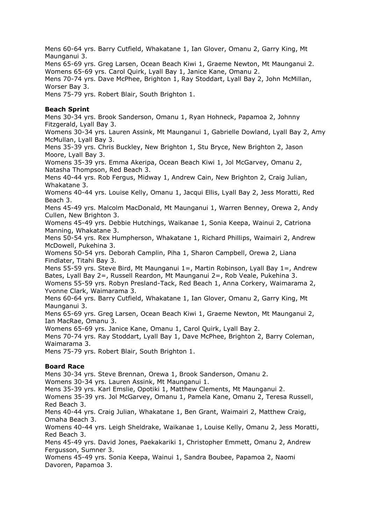Mens 60-64 yrs. Barry Cutfield, Whakatane 1, Ian Glover, Omanu 2, Garry King, Mt Maunganui 3.

Mens 65-69 yrs. Greg Larsen, Ocean Beach Kiwi 1, Graeme Newton, Mt Maunganui 2. Womens 65-69 yrs. Carol Quirk, Lyall Bay 1, Janice Kane, Omanu 2.

Mens 70-74 yrs. Dave McPhee, Brighton 1, Ray Stoddart, Lyall Bay 2, John McMillan, Worser Bay 3.

Mens 75-79 yrs. Robert Blair, South Brighton 1.

### **Beach Sprint**

Mens 30-34 yrs. Brook Sanderson, Omanu 1, Ryan Hohneck, Papamoa 2, Johnny Fitzgerald, Lyall Bay 3.

Womens 30-34 yrs. Lauren Assink, Mt Maunganui 1, Gabrielle Dowland, Lyall Bay 2, Amy McMullan, Lyall Bay 3.

Mens 35-39 yrs. Chris Buckley, New Brighton 1, Stu Bryce, New Brighton 2, Jason Moore, Lyall Bay 3.

Womens 35-39 yrs. Emma Akeripa, Ocean Beach Kiwi 1, Jol McGarvey, Omanu 2, Natasha Thompson, Red Beach 3.

Mens 40-44 yrs. Rob Fergus, Midway 1, Andrew Cain, New Brighton 2, Craig Julian, Whakatane 3.

Womens 40-44 yrs. Louise Kelly, Omanu 1, Jacqui Ellis, Lyall Bay 2, Jess Moratti, Red Beach 3.

Mens 45-49 yrs. Malcolm MacDonald, Mt Maunganui 1, Warren Benney, Orewa 2, Andy Cullen, New Brighton 3.

Womens 45-49 yrs. Debbie Hutchings, Waikanae 1, Sonia Keepa, Wainui 2, Catriona Manning, Whakatane 3.

Mens 50-54 yrs. Rex Humpherson, Whakatane 1, Richard Phillips, Waimairi 2, Andrew McDowell, Pukehina 3.

Womens 50-54 yrs. Deborah Camplin, Piha 1, Sharon Campbell, Orewa 2, Liana Findlater, Titahi Bay 3.

Mens 55-59 yrs. Steve Bird, Mt Maunganui 1=, Martin Robinson, Lyall Bay 1=, Andrew Bates, Lyall Bay 2=, Russell Reardon, Mt Maunganui 2=, Rob Veale, Pukehina 3.

Womens 55-59 yrs. Robyn Presland-Tack, Red Beach 1, Anna Corkery, Waimarama 2, Yvonne Clark, Waimarama 3.

Mens 60-64 yrs. Barry Cutfield, Whakatane 1, Ian Glover, Omanu 2, Garry King, Mt Maunganui 3.

Mens 65-69 yrs. Greg Larsen, Ocean Beach Kiwi 1, Graeme Newton, Mt Maunganui 2, Ian MacRae, Omanu 3.

Womens 65-69 yrs. Janice Kane, Omanu 1, Carol Quirk, Lyall Bay 2.

Mens 70-74 yrs. Ray Stoddart, Lyall Bay 1, Dave McPhee, Brighton 2, Barry Coleman, Waimarama 3.

Mens 75-79 yrs. Robert Blair, South Brighton 1.

### **Board Race**

Mens 30-34 yrs. Steve Brennan, Orewa 1, Brook Sanderson, Omanu 2.

Womens 30-34 yrs. Lauren Assink, Mt Maunganui 1.

Mens 35-39 yrs. Karl Emslie, Opotiki 1, Matthew Clements, Mt Maunganui 2.

Womens 35-39 yrs. Jol McGarvey, Omanu 1, Pamela Kane, Omanu 2, Teresa Russell, Red Beach 3.

Mens 40-44 yrs. Craig Julian, Whakatane 1, Ben Grant, Waimairi 2, Matthew Craig, Omaha Beach 3.

Womens 40-44 yrs. Leigh Sheldrake, Waikanae 1, Louise Kelly, Omanu 2, Jess Moratti, Red Beach 3.

Mens 45-49 yrs. David Jones, Paekakariki 1, Christopher Emmett, Omanu 2, Andrew Fergusson, Sumner 3.

Womens 45-49 yrs. Sonia Keepa, Wainui 1, Sandra Boubee, Papamoa 2, Naomi Davoren, Papamoa 3.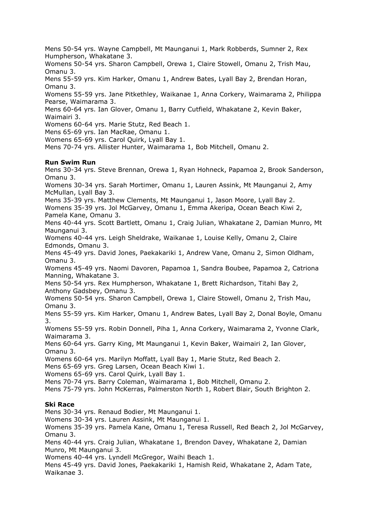Mens 50-54 yrs. Wayne Campbell, Mt Maunganui 1, Mark Robberds, Sumner 2, Rex Humpherson, Whakatane 3.

Womens 50-54 yrs. Sharon Campbell, Orewa 1, Claire Stowell, Omanu 2, Trish Mau, Omanu 3.

Mens 55-59 yrs. Kim Harker, Omanu 1, Andrew Bates, Lyall Bay 2, Brendan Horan, Omanu 3.

Womens 55-59 yrs. Jane Pitkethley, Waikanae 1, Anna Corkery, Waimarama 2, Philippa Pearse, Waimarama 3.

Mens 60-64 yrs. Ian Glover, Omanu 1, Barry Cutfield, Whakatane 2, Kevin Baker, Waimairi 3.

Womens 60-64 yrs. Marie Stutz, Red Beach 1.

Mens 65-69 yrs. Ian MacRae, Omanu 1.

Womens 65-69 yrs. Carol Quirk, Lyall Bay 1.

Mens 70-74 yrs. Allister Hunter, Waimarama 1, Bob Mitchell, Omanu 2.

#### **Run Swim Run**

Mens 30-34 yrs. Steve Brennan, Orewa 1, Ryan Hohneck, Papamoa 2, Brook Sanderson, Omanu 3.

Womens 30-34 yrs. Sarah Mortimer, Omanu 1, Lauren Assink, Mt Maunganui 2, Amy McMullan, Lyall Bay 3.

Mens 35-39 yrs. Matthew Clements, Mt Maunganui 1, Jason Moore, Lyall Bay 2.

Womens 35-39 yrs. Jol McGarvey, Omanu 1, Emma Akeripa, Ocean Beach Kiwi 2, Pamela Kane, Omanu 3.

Mens 40-44 yrs. Scott Bartlett, Omanu 1, Craig Julian, Whakatane 2, Damian Munro, Mt Maunganui 3.

Womens 40-44 yrs. Leigh Sheldrake, Waikanae 1, Louise Kelly, Omanu 2, Claire Edmonds, Omanu 3.

Mens 45-49 yrs. David Jones, Paekakariki 1, Andrew Vane, Omanu 2, Simon Oldham, Omanu 3.

Womens 45-49 yrs. Naomi Davoren, Papamoa 1, Sandra Boubee, Papamoa 2, Catriona Manning, Whakatane 3.

Mens 50-54 yrs. Rex Humpherson, Whakatane 1, Brett Richardson, Titahi Bay 2, Anthony Gadsbey, Omanu 3.

Womens 50-54 yrs. Sharon Campbell, Orewa 1, Claire Stowell, Omanu 2, Trish Mau, Omanu 3.

Mens 55-59 yrs. Kim Harker, Omanu 1, Andrew Bates, Lyall Bay 2, Donal Boyle, Omanu 3.

Womens 55-59 yrs. Robin Donnell, Piha 1, Anna Corkery, Waimarama 2, Yvonne Clark, Waimarama 3.

Mens 60-64 yrs. Garry King, Mt Maunganui 1, Kevin Baker, Waimairi 2, Ian Glover, Omanu 3.

Womens 60-64 yrs. Marilyn Moffatt, Lyall Bay 1, Marie Stutz, Red Beach 2.

Mens 65-69 yrs. Greg Larsen, Ocean Beach Kiwi 1.

Womens 65-69 yrs. Carol Quirk, Lyall Bay 1.

Mens 70-74 yrs. Barry Coleman, Waimarama 1, Bob Mitchell, Omanu 2.

Mens 75-79 yrs. John McKerras, Palmerston North 1, Robert Blair, South Brighton 2.

### **Ski Race**

Mens 30-34 yrs. Renaud Bodier, Mt Maunganui 1.

Womens 30-34 yrs. Lauren Assink, Mt Maunganui 1.

Womens 35-39 yrs. Pamela Kane, Omanu 1, Teresa Russell, Red Beach 2, Jol McGarvey, Omanu 3.

Mens 40-44 yrs. Craig Julian, Whakatane 1, Brendon Davey, Whakatane 2, Damian Munro, Mt Maunganui 3.

Womens 40-44 yrs. Lyndell McGregor, Waihi Beach 1.

Mens 45-49 yrs. David Jones, Paekakariki 1, Hamish Reid, Whakatane 2, Adam Tate, Waikanae 3.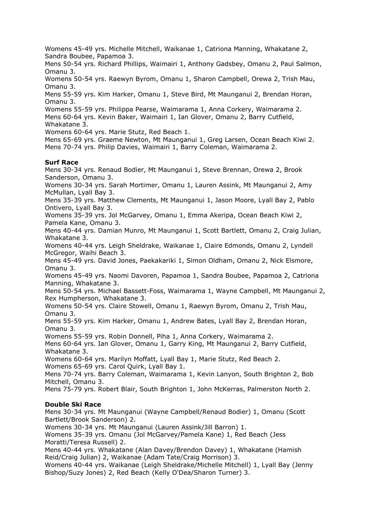Womens 45-49 yrs. Michelle Mitchell, Waikanae 1, Catriona Manning, Whakatane 2, Sandra Boubee, Papamoa 3.

Mens 50-54 yrs. Richard Phillips, Waimairi 1, Anthony Gadsbey, Omanu 2, Paul Salmon, Omanu 3.

Womens 50-54 yrs. Raewyn Byrom, Omanu 1, Sharon Campbell, Orewa 2, Trish Mau, Omanu 3.

Mens 55-59 yrs. Kim Harker, Omanu 1, Steve Bird, Mt Maunganui 2, Brendan Horan, Omanu 3.

Womens 55-59 yrs. Philippa Pearse, Waimarama 1, Anna Corkery, Waimarama 2.

Mens 60-64 yrs. Kevin Baker, Waimairi 1, Ian Glover, Omanu 2, Barry Cutfield, Whakatane 3.

Womens 60-64 yrs. Marie Stutz, Red Beach 1.

Mens 65-69 yrs. Graeme Newton, Mt Maunganui 1, Greg Larsen, Ocean Beach Kiwi 2. Mens 70-74 yrs. Philip Davies, Waimairi 1, Barry Coleman, Waimarama 2.

### **Surf Race**

Mens 30-34 yrs. Renaud Bodier, Mt Maunganui 1, Steve Brennan, Orewa 2, Brook Sanderson, Omanu 3.

Womens 30-34 yrs. Sarah Mortimer, Omanu 1, Lauren Assink, Mt Maunganui 2, Amy McMullan, Lyall Bay 3.

Mens 35-39 yrs. Matthew Clements, Mt Maunganui 1, Jason Moore, Lyall Bay 2, Pablo Ontivero, Lyall Bay 3.

Womens 35-39 yrs. Jol McGarvey, Omanu 1, Emma Akeripa, Ocean Beach Kiwi 2, Pamela Kane, Omanu 3.

Mens 40-44 yrs. Damian Munro, Mt Maunganui 1, Scott Bartlett, Omanu 2, Craig Julian, Whakatane 3.

Womens 40-44 yrs. Leigh Sheldrake, Waikanae 1, Claire Edmonds, Omanu 2, Lyndell McGregor, Waihi Beach 3.

Mens 45-49 yrs. David Jones, Paekakariki 1, Simon Oldham, Omanu 2, Nick Elsmore, Omanu 3.

Womens 45-49 yrs. Naomi Davoren, Papamoa 1, Sandra Boubee, Papamoa 2, Catriona Manning, Whakatane 3.

Mens 50-54 yrs. Michael Bassett-Foss, Waimarama 1, Wayne Campbell, Mt Maunganui 2, Rex Humpherson, Whakatane 3.

Womens 50-54 yrs. Claire Stowell, Omanu 1, Raewyn Byrom, Omanu 2, Trish Mau, Omanu 3.

Mens 55-59 yrs. Kim Harker, Omanu 1, Andrew Bates, Lyall Bay 2, Brendan Horan, Omanu 3.

Womens 55-59 yrs. Robin Donnell, Piha 1, Anna Corkery, Waimarama 2.

Mens 60-64 yrs. Ian Glover, Omanu 1, Garry King, Mt Maunganui 2, Barry Cutfield, Whakatane 3.

Womens 60-64 yrs. Marilyn Moffatt, Lyall Bay 1, Marie Stutz, Red Beach 2. Womens 65-69 yrs. Carol Quirk, Lyall Bay 1.

Mens 70-74 yrs. Barry Coleman, Waimarama 1, Kevin Lanyon, South Brighton 2, Bob Mitchell, Omanu 3.

Mens 75-79 yrs. Robert Blair, South Brighton 1, John McKerras, Palmerston North 2.

#### **Double Ski Race**

Mens 30-34 yrs. Mt Maunganui (Wayne Campbell/Renaud Bodier) 1, Omanu (Scott Bartlett/Brook Sanderson) 2.

Womens 30-34 yrs. Mt Maunganui (Lauren Assink/Jill Barron) 1.

Womens 35-39 yrs. Omanu (Jol McGarvey/Pamela Kane) 1, Red Beach (Jess Moratti/Teresa Russell) 2.

Mens 40-44 yrs. Whakatane (Alan Davey/Brendon Davey) 1, Whakatane (Hamish Reid/Craig Julian) 2, Waikanae (Adam Tate/Craig Morrison) 3.

Womens 40-44 yrs. Waikanae (Leigh Sheldrake/Michelle Mitchell) 1, Lyall Bay (Jenny Bishop/Suzy Jones) 2, Red Beach (Kelly O'Dea/Sharon Turner) 3.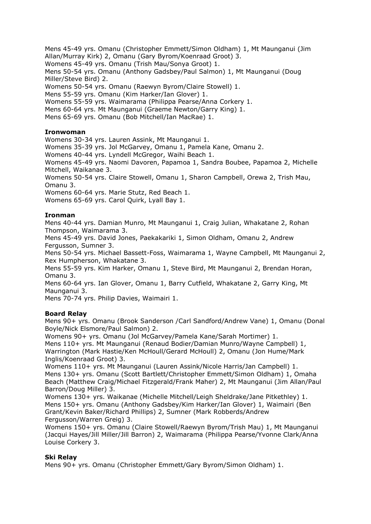Mens 45-49 yrs. Omanu (Christopher Emmett/Simon Oldham) 1, Mt Maunganui (Jim Allan/Murray Kirk) 2, Omanu (Gary Byrom/Koenraad Groot) 3. Womens 45-49 yrs. Omanu (Trish Mau/Sonya Groot) 1.

Mens 50-54 yrs. Omanu (Anthony Gadsbey/Paul Salmon) 1, Mt Maunganui (Doug Miller/Steve Bird) 2.

Womens 50-54 yrs. Omanu (Raewyn Byrom/Claire Stowell) 1.

Mens 55-59 yrs. Omanu (Kim Harker/Ian Glover) 1.

Womens 55-59 yrs. Waimarama (Philippa Pearse/Anna Corkery 1.

Mens 60-64 yrs. Mt Maunganui (Graeme Newton/Garry King) 1.

Mens 65-69 yrs. Omanu (Bob Mitchell/Ian MacRae) 1.

## **Ironwoman**

Womens 30-34 yrs. Lauren Assink, Mt Maunganui 1.

Womens 35-39 yrs. Jol McGarvey, Omanu 1, Pamela Kane, Omanu 2.

Womens 40-44 yrs. Lyndell McGregor, Waihi Beach 1.

Womens 45-49 yrs. Naomi Davoren, Papamoa 1, Sandra Boubee, Papamoa 2, Michelle Mitchell, Waikanae 3.

Womens 50-54 yrs. Claire Stowell, Omanu 1, Sharon Campbell, Orewa 2, Trish Mau, Omanu 3.

Womens 60-64 yrs. Marie Stutz, Red Beach 1.

Womens 65-69 yrs. Carol Quirk, Lyall Bay 1.

## **Ironman**

Mens 40-44 yrs. Damian Munro, Mt Maunganui 1, Craig Julian, Whakatane 2, Rohan Thompson, Waimarama 3.

Mens 45-49 yrs. David Jones, Paekakariki 1, Simon Oldham, Omanu 2, Andrew Fergusson, Sumner 3.

Mens 50-54 yrs. Michael Bassett-Foss, Waimarama 1, Wayne Campbell, Mt Maunganui 2, Rex Humpherson, Whakatane 3.

Mens 55-59 yrs. Kim Harker, Omanu 1, Steve Bird, Mt Maunganui 2, Brendan Horan, Omanu 3.

Mens 60-64 yrs. Ian Glover, Omanu 1, Barry Cutfield, Whakatane 2, Garry King, Mt Maunganui 3.

Mens 70-74 yrs. Philip Davies, Waimairi 1.

### **Board Relay**

Mens 90+ yrs. Omanu (Brook Sanderson /Carl Sandford/Andrew Vane) 1, Omanu (Donal Boyle/Nick Elsmore/Paul Salmon) 2.

Womens 90+ yrs. Omanu (Jol McGarvey/Pamela Kane/Sarah Mortimer) 1.

Mens 110+ yrs. Mt Maunganui (Renaud Bodier/Damian Munro/Wayne Campbell) 1, Warrington (Mark Hastie/Ken McHoull/Gerard McHoull) 2, Omanu (Jon Hume/Mark Inglis/Koenraad Groot) 3.

Womens 110+ yrs. Mt Maunganui (Lauren Assink/Nicole Harris/Jan Campbell) 1. Mens 130+ yrs. Omanu (Scott Bartlett/Christopher Emmett/Simon Oldham) 1, Omaha Beach (Matthew Craig/Michael Fitzgerald/Frank Maher) 2, Mt Maunganui (Jim Allan/Paul Barron/Doug Miller) 3.

Womens 130+ yrs. Waikanae (Michelle Mitchell/Leigh Sheldrake/Jane Pitkethley) 1. Mens 150+ yrs. Omanu (Anthony Gadsbey/Kim Harker/Ian Glover) 1, Waimairi (Ben Grant/Kevin Baker/Richard Phillips) 2, Sumner (Mark Robberds/Andrew Fergusson/Warren Greig) 3.

Womens 150+ yrs. Omanu (Claire Stowell/Raewyn Byrom/Trish Mau) 1, Mt Maunganui (Jacqui Hayes/Jill Miller/Jill Barron) 2, Waimarama (Philippa Pearse/Yvonne Clark/Anna Louise Corkery 3.

### **Ski Relay**

Mens 90+ yrs. Omanu (Christopher Emmett/Gary Byrom/Simon Oldham) 1.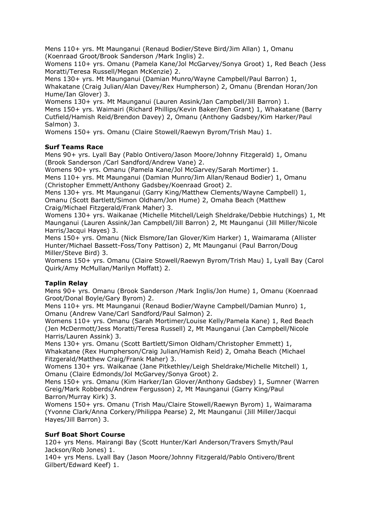Mens 110+ yrs. Mt Maunganui (Renaud Bodier/Steve Bird/Jim Allan) 1, Omanu (Koenraad Groot/Brook Sanderson /Mark Inglis) 2.

Womens 110+ yrs. Omanu (Pamela Kane/Jol McGarvey/Sonya Groot) 1, Red Beach (Jess Moratti/Teresa Russell/Megan McKenzie) 2.

Mens 130+ yrs. Mt Maunganui (Damian Munro/Wayne Campbell/Paul Barron) 1, Whakatane (Craig Julian/Alan Davey/Rex Humpherson) 2, Omanu (Brendan Horan/Jon Hume/Ian Glover) 3.

Womens 130+ yrs. Mt Maunganui (Lauren Assink/Jan Campbell/Jill Barron) 1. Mens 150+ yrs. Waimairi (Richard Phillips/Kevin Baker/Ben Grant) 1, Whakatane (Barry Cutfield/Hamish Reid/Brendon Davey) 2, Omanu (Anthony Gadsbey/Kim Harker/Paul Salmon) 3.

Womens 150+ yrs. Omanu (Claire Stowell/Raewyn Byrom/Trish Mau) 1.

# **Surf Teams Race**

Mens 90+ yrs. Lyall Bay (Pablo Ontivero/Jason Moore/Johnny Fitzgerald) 1, Omanu (Brook Sanderson /Carl Sandford/Andrew Vane) 2.

Womens 90+ yrs. Omanu (Pamela Kane/Jol McGarvey/Sarah Mortimer) 1. Mens 110+ yrs. Mt Maunganui (Damian Munro/Jim Allan/Renaud Bodier) 1, Omanu (Christopher Emmett/Anthony Gadsbey/Koenraad Groot) 2.

Mens 130+ yrs. Mt Maunganui (Garry King/Matthew Clements/Wayne Campbell) 1, Omanu (Scott Bartlett/Simon Oldham/Jon Hume) 2, Omaha Beach (Matthew Craig/Michael Fitzgerald/Frank Maher) 3.

Womens 130+ yrs. Waikanae (Michelle Mitchell/Leigh Sheldrake/Debbie Hutchings) 1, Mt Maunganui (Lauren Assink/Jan Campbell/Jill Barron) 2, Mt Maunganui (Jill Miller/Nicole Harris/Jacqui Hayes) 3.

Mens 150+ yrs. Omanu (Nick Elsmore/Ian Glover/Kim Harker) 1, Waimarama (Allister Hunter/Michael Bassett-Foss/Tony Pattison) 2, Mt Maunganui (Paul Barron/Doug Miller/Steve Bird) 3.

Womens 150+ yrs. Omanu (Claire Stowell/Raewyn Byrom/Trish Mau) 1, Lyall Bay (Carol Quirk/Amy McMullan/Marilyn Moffatt) 2.

# **Taplin Relay**

Mens 90+ yrs. Omanu (Brook Sanderson /Mark Inglis/Jon Hume) 1, Omanu (Koenraad Groot/Donal Boyle/Gary Byrom) 2.

Mens 110+ yrs. Mt Maunganui (Renaud Bodier/Wayne Campbell/Damian Munro) 1, Omanu (Andrew Vane/Carl Sandford/Paul Salmon) 2.

Womens 110+ yrs. Omanu (Sarah Mortimer/Louise Kelly/Pamela Kane) 1, Red Beach (Jen McDermott/Jess Moratti/Teresa Russell) 2, Mt Maunganui (Jan Campbell/Nicole Harris/Lauren Assink) 3.

Mens 130+ yrs. Omanu (Scott Bartlett/Simon Oldham/Christopher Emmett) 1, Whakatane (Rex Humpherson/Craig Julian/Hamish Reid) 2, Omaha Beach (Michael Fitzgerald/Matthew Craig/Frank Maher) 3.

Womens 130+ yrs. Waikanae (Jane Pitkethley/Leigh Sheldrake/Michelle Mitchell) 1, Omanu (Claire Edmonds/Jol McGarvey/Sonya Groot) 2.

Mens 150+ yrs. Omanu (Kim Harker/Ian Glover/Anthony Gadsbey) 1, Sumner (Warren Greig/Mark Robberds/Andrew Fergusson) 2, Mt Maunganui (Garry King/Paul Barron/Murray Kirk) 3.

Womens 150+ yrs. Omanu (Trish Mau/Claire Stowell/Raewyn Byrom) 1, Waimarama (Yvonne Clark/Anna Corkery/Philippa Pearse) 2, Mt Maunganui (Jill Miller/Jacqui Hayes/Jill Barron) 3.

# **Surf Boat Short Course**

120+ yrs Mens. Mairangi Bay (Scott Hunter/Karl Anderson/Travers Smyth/Paul Jackson/Rob Jones) 1.

140+ yrs Mens. Lyall Bay (Jason Moore/Johnny Fitzgerald/Pablo Ontivero/Brent Gilbert/Edward Keef) 1.